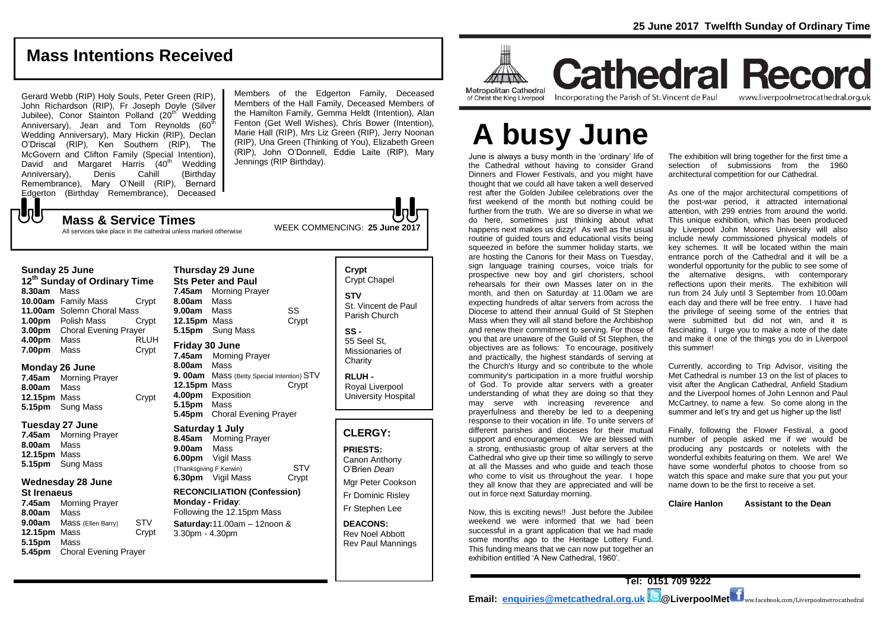### **Mass Intentions Received**

Gerard Webb (RIP) Holy Souls, Peter Green (RIP), John Richardson (RIP), Fr Joseph Doyle (Silver Jubilee), Conor Stainton Polland (20<sup>th</sup> Wedding Anniversary), Jean and Tom Reynolds  $(60^{th})$ Wedding Anniversary), Mary Hickin (RIP), Declan O'Driscal (RIP), Ken Southern (RIP), The McGovern and Clifton Family (Special Intention), David and Margaret Harris (40<sup>th</sup> Wedding Anniversary), Denis Cahill (Birthday Remembrance), Mary O'Neill (RIP), Bernard Edgerton (Birthday Remembrance), Deceased  ${\bf J}$ 

Members of the Edgerton Family, Deceased Members of the Hall Family, Deceased Members of the Hamilton Family, Gemma Heldt (Intention), Alan Fenton (Get Well Wishes), Chris Bower (Intention), Marie Hall (RIP), Mrs Liz Green (RIP), Jerry Noonan (RIP), Una Green (Thinking of You), Elizabeth Green (RIP), John O'Donnell, Eddie Laite (RIP), Mary Jennings (RIP Birthday).

WEEK COMMENCING: **25 June 2017 Mass & Service Times** All services take place in the cathedral unless marked otherwise

#### **Sunday 25 June**

**12th Sunday of Ordinary Time 8.30am** Mass **10.00am** Family Mass Crypt **11.00am** Solemn Choral Mass **1.00pm** Polish Mass Crypt **3.00pm** Choral Evening Prayer **4.00pm** Mass RLUH **7.00pm** Mass Crypt

### **Monday 26 June**

**7.45am** Morning Prayer **8.00am** Mass **12.15pm** Mass Crypt **5.15pm** Sung Mass

### **Tuesday 27 June**

**7.45am** Morning Prayer **8.00am** Mass **12.15pm** Mass **5.15pm** Sung Mass

#### **Wednesday 28 June St Irenaeus**

**7.45am** Morning Prayer **8.00am** Mass **9.00am** Mass (Ellen Barry) STV<br>**12.15pm** Mass Crypt **12.15pm Mass 5.15pm** Mass **5.45pm** Choral Evening Prayer

**Thursday 29 June Sts Peter and Paul 7.45am** Morning Prayer **8.00am** Mass **9.00am** Mass SS **12.15pm** Mass Crypt **5.15pm** Sung Mass **Friday 30 June 7.45am** Morning Prayer **8.00am** Mass **9. 00am** Mass (Betty Special Intention) STV **12.15pm** Mass Crypt **4.00pm** Exposition

**5.15pm** Mass **5.45pm** Choral Evening Prayer **Saturday 1 July**

**8.45am** Morning Prayer **9.00am** Mass **6.00pm** Vigil Mass (Thanksgiving F Kerwin) STV **6.30pm** Vigil Mass Crypt

**RECONCILIATION (Confession) Monday - Friday**: Following the 12.15pm Mass **Saturday:**11.00am – 12noon & 3.30pm - 4.30pm

**Crypt**  Crypt Chapel **STV** St. Vincent de Paul Parish Church **SS -** 55 Seel St, Missionaries of **Charity** 

**RLUH -** Royal Liverpool University Hospital

### **CLERGY:**

**PRIESTS:** Canon Anthony O'Brien *Dean* Mgr Peter Cookson

Fr Dominic Risley Fr Stephen Lee

**DEACONS:**

Rev Noel Abbott Rev Paul Mannings



**Cathedral Record** of Christ the King Liverpool

Incorporating the Parish of St. Vincent de Paul

www.liverpoolmetrocathedral.org.uk

# **A busy June**

June is always a busy month in the 'ordinary' life of the Cathedral without having to consider Grand Dinners and Flower Festivals, and you might have thought that we could all have taken a well deserved rest after the Golden Jubilee celebrations over the first weekend of the month but nothing could be further from the truth. We are so diverse in what we do here, sometimes just thinking about what happens next makes us dizzy! As well as the usual routine of guided tours and educational visits being squeezed in before the summer holiday starts, we are hosting the Canons for their Mass on Tuesday, sign language training courses, voice trials for prospective new boy and girl choristers, school rehearsals for their own Masses later on in the month, and then on Saturday at 11.00am we are expecting hundreds of altar servers from across the Diocese to attend their annual Guild of St Stephen Mass when they will all stand before the Archbishop and renew their commitment to serving. For those of you that are unaware of the Guild of St Stephen, the objectives are as follows: To encourage, positively and practically, the highest standards of serving at the Church's liturgy and so contribute to the whole community's participation in a more fruitful worship of God. To provide altar servers with a greater understanding of what they are doing so that they may serve with increasing reverence and prayerfulness and thereby be led to a deepening response to their vocation in life. To unite servers of different parishes and dioceses for their mutual support and encouragement. We are blessed with a strong, enthusiastic group of altar servers at the Cathedral who give up their time so willingly to serve at all the Masses and who guide and teach those who come to visit us throughout the year. I hope they all know that they are appreciated and will be out in force next Saturday morning.

Now, this is exciting news!! Just before the Jubilee weekend we were informed that we had been successful in a grant application that we had made some months ago to the Heritage Lottery Fund. This funding means that we can now put together an exhibition entitled 'A New Cathedral, 1960'.

The exhibition will bring together for the first time a selection of submissions from the 1960 architectural competition for our Cathedral.

As one of the major architectural competitions of the post-war period, it attracted international attention, with 299 entries from around the world. This unique exhibition, which has been produced by Liverpool John Moores University will also include newly commissioned physical models of key schemes. It will be located within the main entrance porch of the Cathedral and it will be a wonderful opportunity for the public to see some of the alternative designs, with contemporary reflections upon their merits. The exhibition will run from 24 July until 3 September from 10.00am each day and there will be free entry. I have had the privilege of seeing some of the entries that were submitted but did not win, and it is fascinating. I urge you to make a note of the date and make it one of the things you do in Liverpool this summer!

Currently, according to Trip Advisor, visiting the Met Cathedral is number 13 on the list of places to visit after the Anglican Cathedral, Anfield Stadium and the Liverpool homes of John Lennon and Paul McCartney, to name a few. So come along in the summer and let's try and get us higher up the list!

Finally, following the Flower Festival, a good number of people asked me if we would be producing any postcards or notelets with the wonderful exhibits featuring on them. We are! We have some wonderful photos to choose from so watch this space and make sure that you put your name down to be the first to receive a set.

**Claire Hanlon Assistant to the Dean**